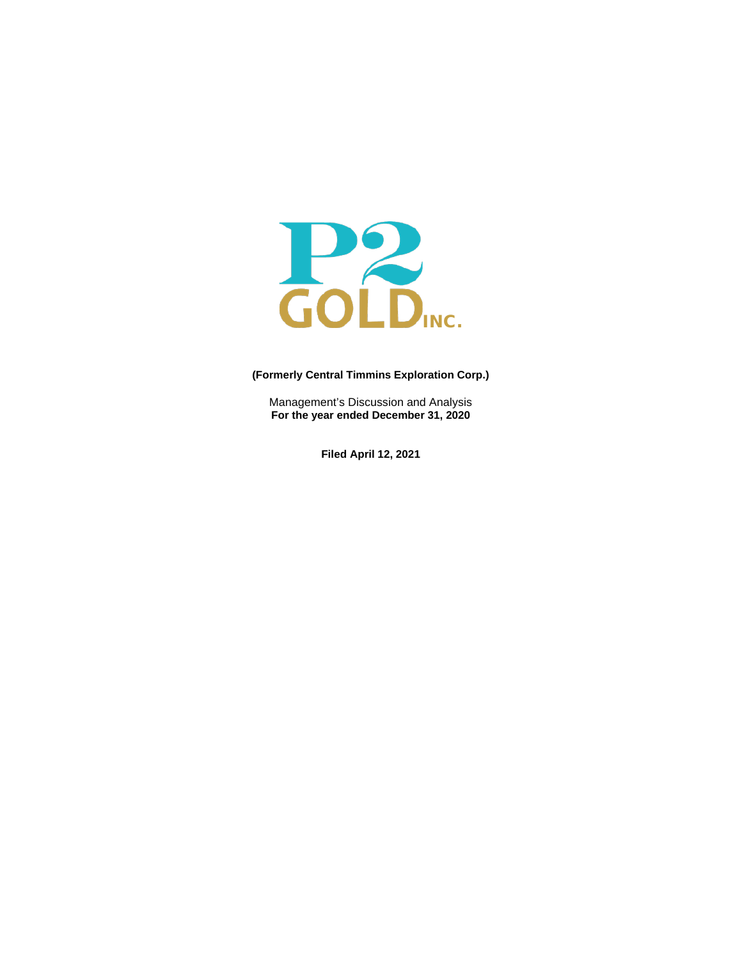

# **(Formerly Central Timmins Exploration Corp.)**

Management's Discussion and Analysis **For the year ended December 31, 2020**

**Filed April 12, 2021**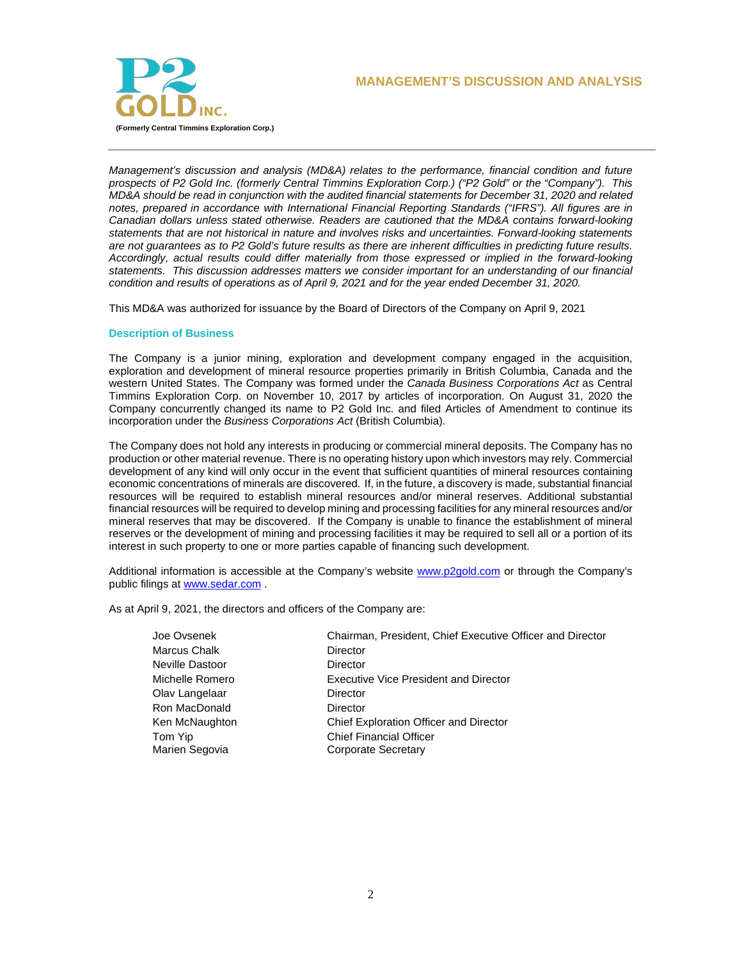



*Management's discussion and analysis (MD&A) relates to the performance, financial condition and future prospects of P2 Gold Inc. (formerly Central Timmins Exploration Corp.) ("P2 Gold" or the "Company"). This MD&A should be read in conjunction with the audited financial statements for December 31, 2020 and related notes, prepared in accordance with International Financial Reporting Standards ("IFRS"). All figures are in Canadian dollars unless stated otherwise. Readers are cautioned that the MD&A contains forward-looking statements that are not historical in nature and involves risks and uncertainties. Forward-looking statements are not guarantees as to P2 Gold's future results as there are inherent difficulties in predicting future results. Accordingly, actual results could differ materially from those expressed or implied in the forward-looking statements. This discussion addresses matters we consider important for an understanding of our financial condition and results of operations as of April 9, 2021 and for the year ended December 31, 2020.*

This MD&A was authorized for issuance by the Board of Directors of the Company on April 9, 2021

## **Description of Business**

The Company is a junior mining, exploration and development company engaged in the acquisition, exploration and development of mineral resource properties primarily in British Columbia, Canada and the western United States. The Company was formed under the *Canada Business Corporations Act* as Central Timmins Exploration Corp. on November 10, 2017 by articles of incorporation. On August 31, 2020 the Company concurrently changed its name to P2 Gold Inc. and filed Articles of Amendment to continue its incorporation under the *Business Corporations Act* (British Columbia).

The Company does not hold any interests in producing or commercial mineral deposits. The Company has no production or other material revenue. There is no operating history upon which investors may rely. Commercial development of any kind will only occur in the event that sufficient quantities of mineral resources containing economic concentrations of minerals are discovered. If, in the future, a discovery is made, substantial financial resources will be required to establish mineral resources and/or mineral reserves. Additional substantial financial resources will be required to develop mining and processing facilities for any mineral resources and/or mineral reserves that may be discovered. If the Company is unable to finance the establishment of mineral reserves or the development of mining and processing facilities it may be required to sell all or a portion of its interest in such property to one or more parties capable of financing such development.

Additional information is accessible at the Company's website [www.p2gold.com](http://www.p2gold.com/) or through the Company's public filings a[t www.sedar.com](http://www.sedar.com/) .

As at April 9, 2021, the directors and officers of the Company are:

| Joe Ovsenek     | Chairman, President, Chief Executive Officer and Director |
|-----------------|-----------------------------------------------------------|
| Marcus Chalk    | Director                                                  |
| Neville Dastoor | Director                                                  |
| Michelle Romero | Executive Vice President and Director                     |
| Olav Langelaar  | Director                                                  |
| Ron MacDonald   | Director                                                  |
| Ken McNaughton  | Chief Exploration Officer and Director                    |
| Tom Yip         | <b>Chief Financial Officer</b>                            |
| Marien Segovia  | <b>Corporate Secretary</b>                                |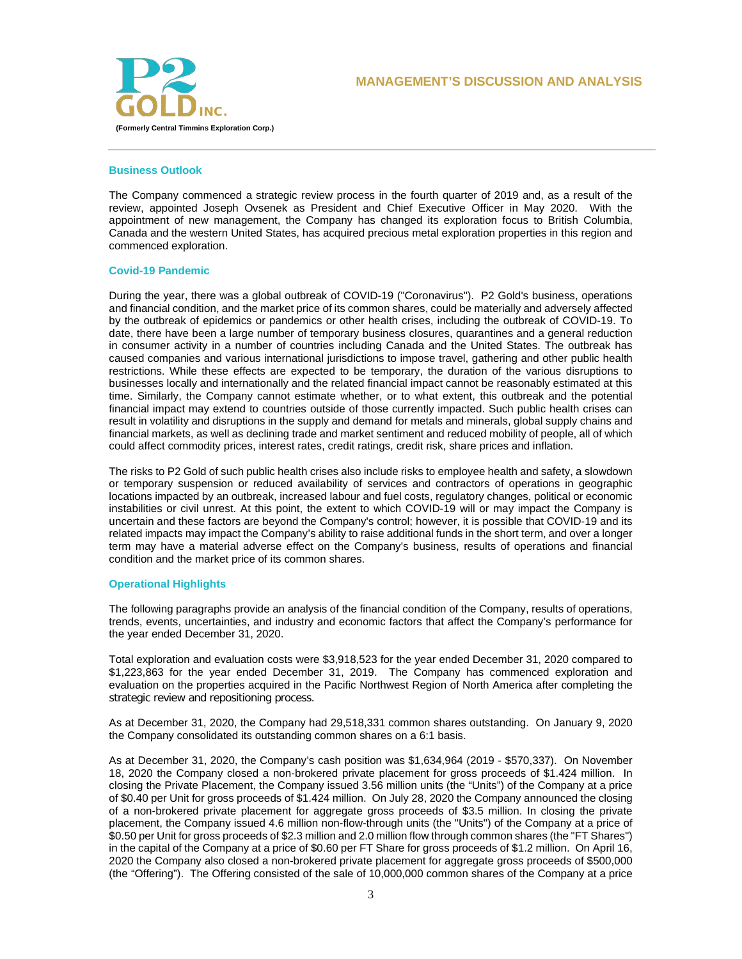

### **Business Outlook**

The Company commenced a strategic review process in the fourth quarter of 2019 and, as a result of the review, appointed Joseph Ovsenek as President and Chief Executive Officer in May 2020. With the appointment of new management, the Company has changed its exploration focus to British Columbia, Canada and the western United States, has acquired precious metal exploration properties in this region and commenced exploration.

### **Covid-19 Pandemic**

During the year, there was a global outbreak of COVID-19 ("Coronavirus"). P2 Gold's business, operations and financial condition, and the market price of its common shares, could be materially and adversely affected by the outbreak of epidemics or pandemics or other health crises, including the outbreak of COVID-19. To date, there have been a large number of temporary business closures, quarantines and a general reduction in consumer activity in a number of countries including Canada and the United States. The outbreak has caused companies and various international jurisdictions to impose travel, gathering and other public health restrictions. While these effects are expected to be temporary, the duration of the various disruptions to businesses locally and internationally and the related financial impact cannot be reasonably estimated at this time. Similarly, the Company cannot estimate whether, or to what extent, this outbreak and the potential financial impact may extend to countries outside of those currently impacted. Such public health crises can result in volatility and disruptions in the supply and demand for metals and minerals, global supply chains and financial markets, as well as declining trade and market sentiment and reduced mobility of people, all of which could affect commodity prices, interest rates, credit ratings, credit risk, share prices and inflation.

The risks to P2 Gold of such public health crises also include risks to employee health and safety, a slowdown or temporary suspension or reduced availability of services and contractors of operations in geographic locations impacted by an outbreak, increased labour and fuel costs, regulatory changes, political or economic instabilities or civil unrest. At this point, the extent to which COVID-19 will or may impact the Company is uncertain and these factors are beyond the Company's control; however, it is possible that COVID-19 and its related impacts may impact the Company's ability to raise additional funds in the short term, and over a longer term may have a material adverse effect on the Company's business, results of operations and financial condition and the market price of its common shares.

## **Operational Highlights**

The following paragraphs provide an analysis of the financial condition of the Company, results of operations, trends, events, uncertainties, and industry and economic factors that affect the Company's performance for the year ended December 31, 2020.

Total exploration and evaluation costs were \$3,918,523 for the year ended December 31, 2020 compared to \$1,223,863 for the year ended December 31, 2019. The Company has commenced exploration and evaluation on the properties acquired in the Pacific Northwest Region of North America after completing the strategic review and repositioning process.

As at December 31, 2020, the Company had 29,518,331 common shares outstanding. On January 9, 2020 the Company consolidated its outstanding common shares on a 6:1 basis.

As at December 31, 2020, the Company's cash position was \$1,634,964 (2019 - \$570,337). On November 18, 2020 the Company closed a non-brokered private placement for gross proceeds of \$1.424 million. In closing the Private Placement, the Company issued 3.56 million units (the "Units") of the Company at a price of \$0.40 per Unit for gross proceeds of \$1.424 million. On July 28, 2020 the Company announced the closing of a non-brokered private placement for aggregate gross proceeds of \$3.5 million. In closing the private placement, the Company issued 4.6 million non-flow-through units (the "Units") of the Company at a price of \$0.50 per Unit for gross proceeds of \$2.3 million and 2.0 million flow through common shares (the "FT Shares") in the capital of the Company at a price of \$0.60 per FT Share for gross proceeds of \$1.2 million. On April 16, 2020 the Company also closed a non-brokered private placement for aggregate gross proceeds of \$500,000 (the "Offering"). The Offering consisted of the sale of 10,000,000 common shares of the Company at a price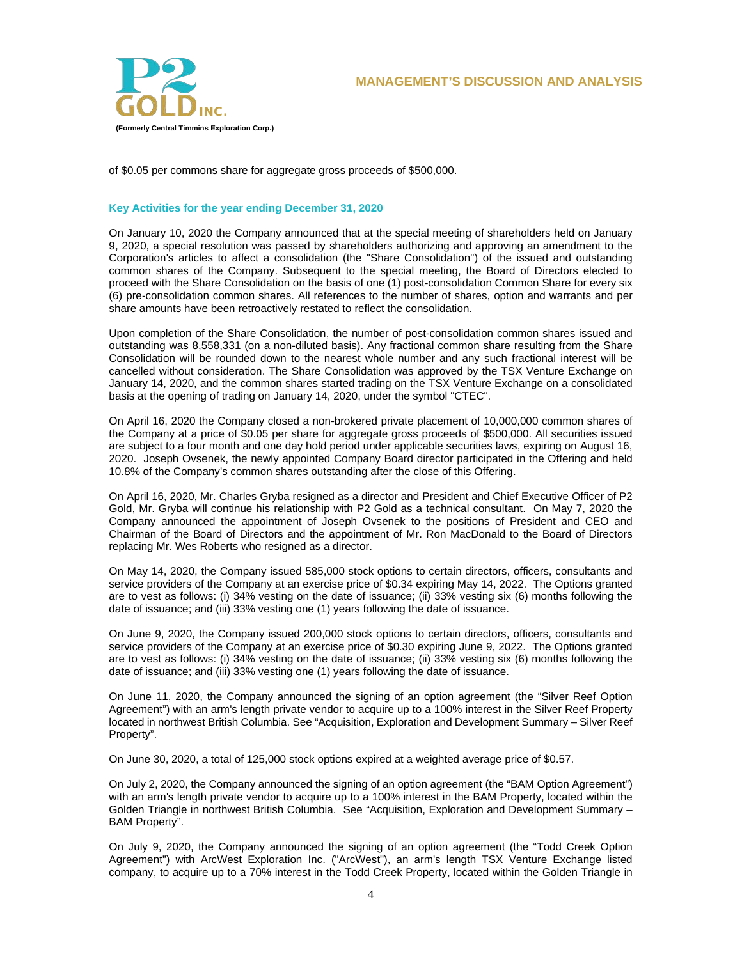

of \$0.05 per commons share for aggregate gross proceeds of \$500,000.

## **Key Activities for the year ending December 31, 2020**

On January 10, 2020 the Company announced that at the special meeting of shareholders held on January 9, 2020, a special resolution was passed by shareholders authorizing and approving an amendment to the Corporation's articles to affect a consolidation (the "Share Consolidation") of the issued and outstanding common shares of the Company. Subsequent to the special meeting, the Board of Directors elected to proceed with the Share Consolidation on the basis of one (1) post-consolidation Common Share for every six (6) pre-consolidation common shares. All references to the number of shares, option and warrants and per share amounts have been retroactively restated to reflect the consolidation.

Upon completion of the Share Consolidation, the number of post-consolidation common shares issued and outstanding was 8,558,331 (on a non-diluted basis). Any fractional common share resulting from the Share Consolidation will be rounded down to the nearest whole number and any such fractional interest will be cancelled without consideration. The Share Consolidation was approved by the TSX Venture Exchange on January 14, 2020, and the common shares started trading on the TSX Venture Exchange on a consolidated basis at the opening of trading on January 14, 2020, under the symbol "CTEC".

On April 16, 2020 the Company closed a non-brokered private placement of 10,000,000 common shares of the Company at a price of \$0.05 per share for aggregate gross proceeds of \$500,000. All securities issued are subject to a four month and one day hold period under applicable securities laws, expiring on August 16, 2020. Joseph Ovsenek, the newly appointed Company Board director participated in the Offering and held 10.8% of the Company's common shares outstanding after the close of this Offering.

On April 16, 2020, Mr. Charles Gryba resigned as a director and President and Chief Executive Officer of P2 Gold, Mr. Gryba will continue his relationship with P2 Gold as a technical consultant. On May 7, 2020 the Company announced the appointment of Joseph Ovsenek to the positions of President and CEO and Chairman of the Board of Directors and the appointment of Mr. Ron MacDonald to the Board of Directors replacing Mr. Wes Roberts who resigned as a director.

On May 14, 2020, the Company issued 585,000 stock options to certain directors, officers, consultants and service providers of the Company at an exercise price of \$0.34 expiring May 14, 2022. The Options granted are to vest as follows: (i) 34% vesting on the date of issuance; (ii) 33% vesting six (6) months following the date of issuance; and (iii) 33% vesting one (1) years following the date of issuance.

On June 9, 2020, the Company issued 200,000 stock options to certain directors, officers, consultants and service providers of the Company at an exercise price of \$0.30 expiring June 9, 2022. The Options granted are to vest as follows: (i) 34% vesting on the date of issuance; (ii) 33% vesting six (6) months following the date of issuance; and (iii) 33% vesting one (1) years following the date of issuance.

On June 11, 2020, the Company announced the signing of an option agreement (the "Silver Reef Option Agreement") with an arm's length private vendor to acquire up to a 100% interest in the Silver Reef Property located in northwest British Columbia. See "Acquisition, Exploration and Development Summary – Silver Reef Property".

On June 30, 2020, a total of 125,000 stock options expired at a weighted average price of \$0.57.

On July 2, 2020, the Company announced the signing of an option agreement (the "BAM Option Agreement") with an arm's length private vendor to acquire up to a 100% interest in the BAM Property, located within the Golden Triangle in northwest British Columbia. See "Acquisition, Exploration and Development Summary – BAM Property".

On July 9, 2020, the Company announced the signing of an option agreement (the "Todd Creek Option Agreement") with ArcWest Exploration Inc. ("ArcWest"), an arm's length TSX Venture Exchange listed company, to acquire up to a 70% interest in the Todd Creek Property, located within the Golden Triangle in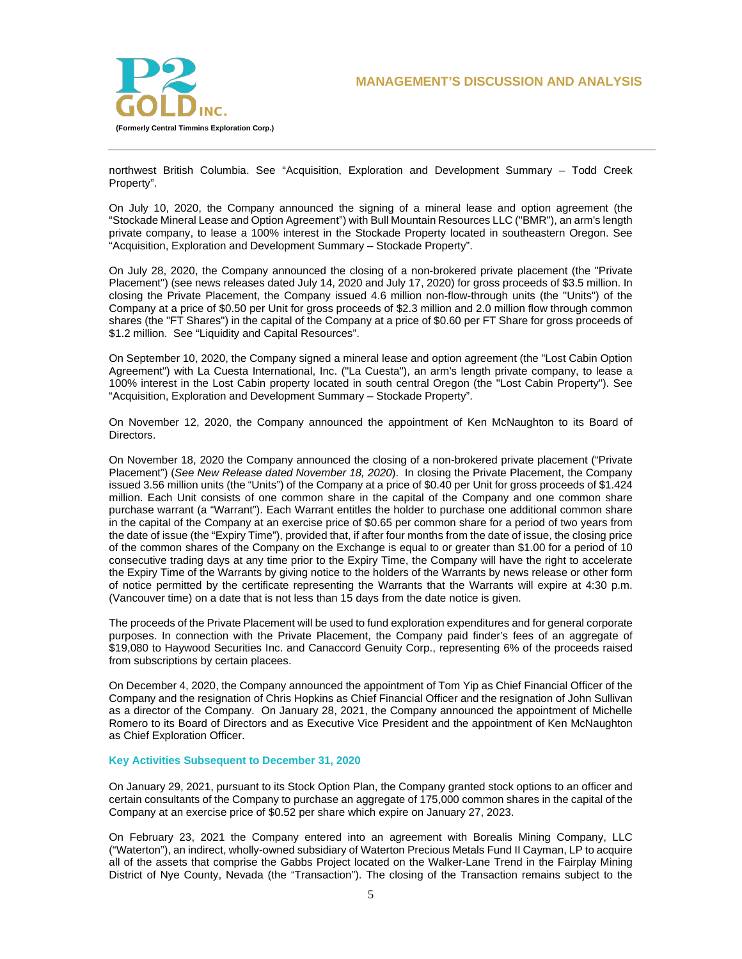

northwest British Columbia. See "Acquisition, Exploration and Development Summary – Todd Creek Property".

On July 10, 2020, the Company announced the signing of a mineral lease and option agreement (the "Stockade Mineral Lease and Option Agreement") with Bull Mountain Resources LLC ("BMR"), an arm's length private company, to lease a 100% interest in the Stockade Property located in southeastern Oregon. See "Acquisition, Exploration and Development Summary – Stockade Property".

On July 28, 2020, the Company announced the closing of a non-brokered private placement (the "Private Placement") (see news releases dated July 14, 2020 and July 17, 2020) for gross proceeds of \$3.5 million. In closing the Private Placement, the Company issued 4.6 million non-flow-through units (the "Units") of the Company at a price of \$0.50 per Unit for gross proceeds of \$2.3 million and 2.0 million flow through common shares (the "FT Shares") in the capital of the Company at a price of \$0.60 per FT Share for gross proceeds of \$1.2 million. See "Liquidity and Capital Resources".

On September 10, 2020, the Company signed a mineral lease and option agreement (the "Lost Cabin Option Agreement") with La Cuesta International, Inc. ("La Cuesta"), an arm's length private company, to lease a 100% interest in the Lost Cabin property located in south central Oregon (the "Lost Cabin Property"). See "Acquisition, Exploration and Development Summary – Stockade Property".

On November 12, 2020, the Company announced the appointment of Ken McNaughton to its Board of Directors.

On November 18, 2020 the Company announced the closing of a non-brokered private placement ("Private Placement") (*See New Release dated November 18, 2020*). In closing the Private Placement, the Company issued 3.56 million units (the "Units") of the Company at a price of \$0.40 per Unit for gross proceeds of \$1.424 million. Each Unit consists of one common share in the capital of the Company and one common share purchase warrant (a "Warrant"). Each Warrant entitles the holder to purchase one additional common share in the capital of the Company at an exercise price of \$0.65 per common share for a period of two years from the date of issue (the "Expiry Time"), provided that, if after four months from the date of issue, the closing price of the common shares of the Company on the Exchange is equal to or greater than \$1.00 for a period of 10 consecutive trading days at any time prior to the Expiry Time, the Company will have the right to accelerate the Expiry Time of the Warrants by giving notice to the holders of the Warrants by news release or other form of notice permitted by the certificate representing the Warrants that the Warrants will expire at 4:30 p.m. (Vancouver time) on a date that is not less than 15 days from the date notice is given.

The proceeds of the Private Placement will be used to fund exploration expenditures and for general corporate purposes. In connection with the Private Placement, the Company paid finder's fees of an aggregate of \$19,080 to Haywood Securities Inc. and Canaccord Genuity Corp., representing 6% of the proceeds raised from subscriptions by certain placees.

On December 4, 2020, the Company announced the appointment of Tom Yip as Chief Financial Officer of the Company and the resignation of Chris Hopkins as Chief Financial Officer and the resignation of John Sullivan as a director of the Company. On January 28, 2021, the Company announced the appointment of Michelle Romero to its Board of Directors and as Executive Vice President and the appointment of Ken McNaughton as Chief Exploration Officer.

### **Key Activities Subsequent to December 31, 2020**

On January 29, 2021, pursuant to its Stock Option Plan, the Company granted stock options to an officer and certain consultants of the Company to purchase an aggregate of 175,000 common shares in the capital of the Company at an exercise price of \$0.52 per share which expire on January 27, 2023.

On February 23, 2021 the Company entered into an agreement with Borealis Mining Company, LLC ("Waterton"), an indirect, wholly-owned subsidiary of Waterton Precious Metals Fund II Cayman, LP to acquire all of the assets that comprise the Gabbs Project located on the Walker-Lane Trend in the Fairplay Mining District of Nye County, Nevada (the "Transaction"). The closing of the Transaction remains subject to the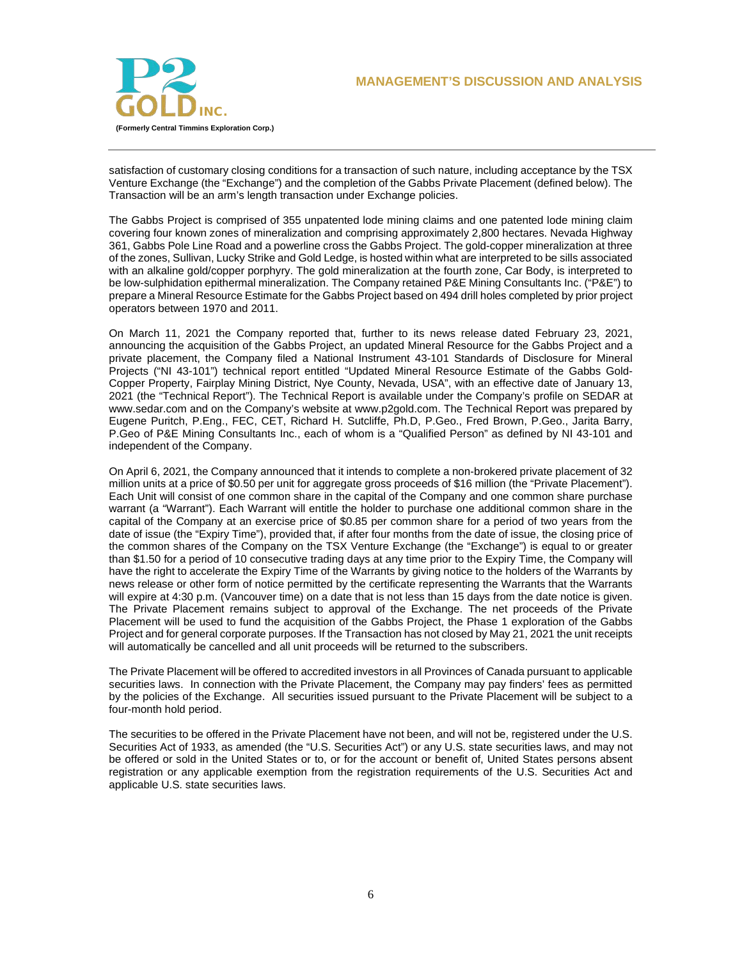

satisfaction of customary closing conditions for a transaction of such nature, including acceptance by the TSX Venture Exchange (the "Exchange") and the completion of the Gabbs Private Placement (defined below). The Transaction will be an arm's length transaction under Exchange policies.

The Gabbs Project is comprised of 355 unpatented lode mining claims and one patented lode mining claim covering four known zones of mineralization and comprising approximately 2,800 hectares. Nevada Highway 361, Gabbs Pole Line Road and a powerline cross the Gabbs Project. The gold-copper mineralization at three of the zones, Sullivan, Lucky Strike and Gold Ledge, is hosted within what are interpreted to be sills associated with an alkaline gold/copper porphyry. The gold mineralization at the fourth zone, Car Body, is interpreted to be low-sulphidation epithermal mineralization. The Company retained P&E Mining Consultants Inc. ("P&E") to prepare a Mineral Resource Estimate for the Gabbs Project based on 494 drill holes completed by prior project operators between 1970 and 2011.

On March 11, 2021 the Company reported that, further to its news release dated February 23, 2021, announcing the acquisition of the Gabbs Project, an updated Mineral Resource for the Gabbs Project and a private placement, the Company filed a National Instrument 43-101 Standards of Disclosure for Mineral Projects ("NI 43-101") technical report entitled "Updated Mineral Resource Estimate of the Gabbs Gold-Copper Property, Fairplay Mining District, Nye County, Nevada, USA", with an effective date of January 13, 2021 (the "Technical Report"). The Technical Report is available under the Company's profile on SEDAR at www.sedar.com and on the Company's website at www.p2gold.com. The Technical Report was prepared by Eugene Puritch, P.Eng., FEC, CET, Richard H. Sutcliffe, Ph.D, P.Geo., Fred Brown, P.Geo., Jarita Barry, P.Geo of P&E Mining Consultants Inc., each of whom is a "Qualified Person" as defined by NI 43-101 and independent of the Company.

On April 6, 2021, the Company announced that it intends to complete a non-brokered private placement of 32 million units at a price of \$0.50 per unit for aggregate gross proceeds of \$16 million (the "Private Placement"). Each Unit will consist of one common share in the capital of the Company and one common share purchase warrant (a "Warrant"). Each Warrant will entitle the holder to purchase one additional common share in the capital of the Company at an exercise price of \$0.85 per common share for a period of two years from the date of issue (the "Expiry Time"), provided that, if after four months from the date of issue, the closing price of the common shares of the Company on the TSX Venture Exchange (the "Exchange") is equal to or greater than \$1.50 for a period of 10 consecutive trading days at any time prior to the Expiry Time, the Company will have the right to accelerate the Expiry Time of the Warrants by giving notice to the holders of the Warrants by news release or other form of notice permitted by the certificate representing the Warrants that the Warrants will expire at 4:30 p.m. (Vancouver time) on a date that is not less than 15 days from the date notice is given. The Private Placement remains subject to approval of the Exchange. The net proceeds of the Private Placement will be used to fund the acquisition of the Gabbs Project, the Phase 1 exploration of the Gabbs Project and for general corporate purposes. If the Transaction has not closed by May 21, 2021 the unit receipts will automatically be cancelled and all unit proceeds will be returned to the subscribers.

The Private Placement will be offered to accredited investors in all Provinces of Canada pursuant to applicable securities laws. In connection with the Private Placement, the Company may pay finders' fees as permitted by the policies of the Exchange. All securities issued pursuant to the Private Placement will be subject to a four-month hold period.

The securities to be offered in the Private Placement have not been, and will not be, registered under the U.S. Securities Act of 1933, as amended (the "U.S. Securities Act") or any U.S. state securities laws, and may not be offered or sold in the United States or to, or for the account or benefit of, United States persons absent registration or any applicable exemption from the registration requirements of the U.S. Securities Act and applicable U.S. state securities laws.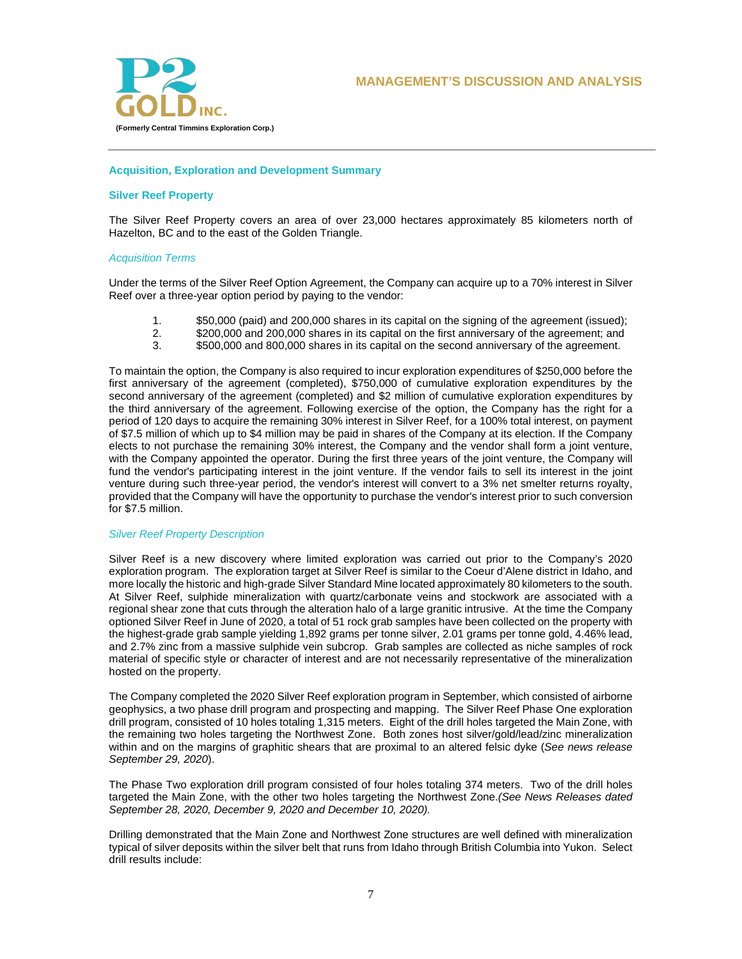

## **Acquisition, Exploration and Development Summary**

## **Silver Reef Property**

The Silver Reef Property covers an area of over 23,000 hectares approximately 85 kilometers north of Hazelton, BC and to the east of the Golden Triangle.

## *Acquisition Terms*

Under the terms of the Silver Reef Option Agreement, the Company can acquire up to a 70% interest in Silver Reef over a three-year option period by paying to the vendor:

- 1. \$50,000 (paid) and 200,000 shares in its capital on the signing of the agreement (issued);<br>2. \$200,000 and 200,000 shares in its capital on the first anniversary of the agreement: and
- 2. \$200,000 and 200,000 shares in its capital on the first anniversary of the agreement; and<br>3. \$500,000 and 800,000 shares in its capital on the second anniversary of the agreement.
- 3. \$500,000 and 800,000 shares in its capital on the second anniversary of the agreement.

To maintain the option, the Company is also required to incur exploration expenditures of \$250,000 before the first anniversary of the agreement (completed), \$750,000 of cumulative exploration expenditures by the second anniversary of the agreement (completed) and \$2 million of cumulative exploration expenditures by the third anniversary of the agreement. Following exercise of the option, the Company has the right for a period of 120 days to acquire the remaining 30% interest in Silver Reef, for a 100% total interest, on payment of \$7.5 million of which up to \$4 million may be paid in shares of the Company at its election. If the Company elects to not purchase the remaining 30% interest, the Company and the vendor shall form a joint venture, with the Company appointed the operator. During the first three years of the joint venture, the Company will fund the vendor's participating interest in the joint venture. If the vendor fails to sell its interest in the joint venture during such three-year period, the vendor's interest will convert to a 3% net smelter returns royalty, provided that the Company will have the opportunity to purchase the vendor's interest prior to such conversion for \$7.5 million.

### *Silver Reef Property Description*

Silver Reef is a new discovery where limited exploration was carried out prior to the Company's 2020 exploration program. The exploration target at Silver Reef is similar to the Coeur d'Alene district in Idaho, and more locally the historic and high-grade Silver Standard Mine located approximately 80 kilometers to the south. At Silver Reef, sulphide mineralization with quartz/carbonate veins and stockwork are associated with a regional shear zone that cuts through the alteration halo of a large granitic intrusive. At the time the Company optioned Silver Reef in June of 2020, a total of 51 rock grab samples have been collected on the property with the highest-grade grab sample yielding 1,892 grams per tonne silver, 2.01 grams per tonne gold, 4.46% lead, and 2.7% zinc from a massive sulphide vein subcrop. Grab samples are collected as niche samples of rock material of specific style or character of interest and are not necessarily representative of the mineralization hosted on the property.

The Company completed the 2020 Silver Reef exploration program in September, which consisted of airborne geophysics, a two phase drill program and prospecting and mapping. The Silver Reef Phase One exploration drill program, consisted of 10 holes totaling 1,315 meters. Eight of the drill holes targeted the Main Zone, with the remaining two holes targeting the Northwest Zone. Both zones host silver/gold/lead/zinc mineralization within and on the margins of graphitic shears that are proximal to an altered felsic dyke (*See news release September 29, 2020*).

The Phase Two exploration drill program consisted of four holes totaling 374 meters. Two of the drill holes targeted the Main Zone, with the other two holes targeting the Northwest Zone.*(See News Releases dated September 28, 2020, December 9, 2020 and December 10, 2020).*

Drilling demonstrated that the Main Zone and Northwest Zone structures are well defined with mineralization typical of silver deposits within the silver belt that runs from Idaho through British Columbia into Yukon. Select drill results include: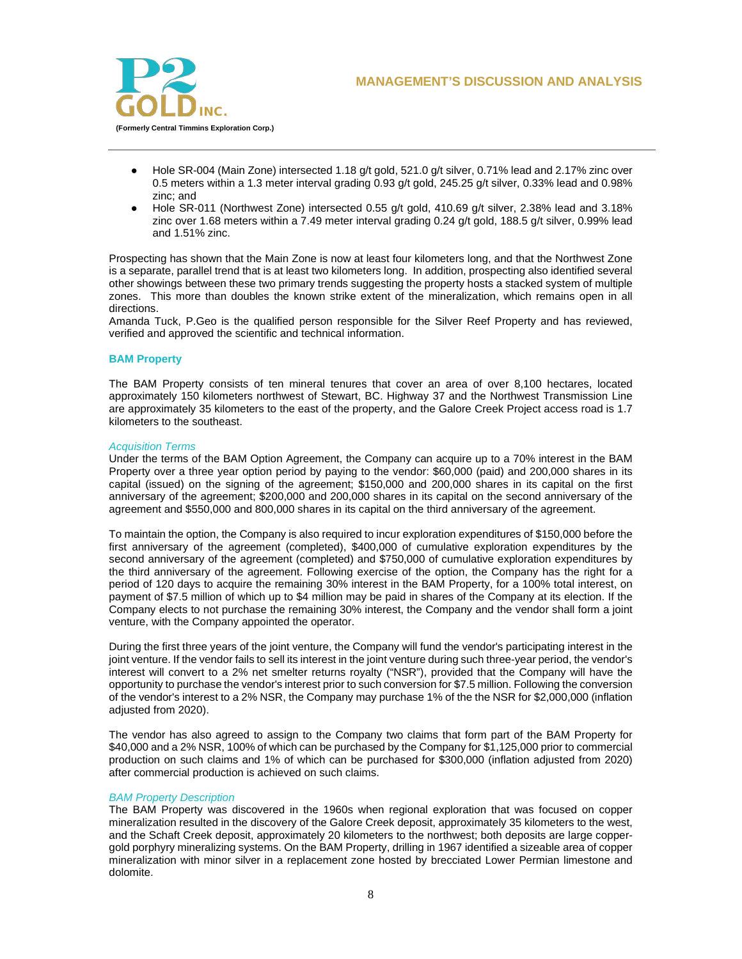

- Hole SR-004 (Main Zone) intersected 1.18 g/t gold, 521.0 g/t silver, 0.71% lead and 2.17% zinc over 0.5 meters within a 1.3 meter interval grading 0.93 g/t gold, 245.25 g/t silver, 0.33% lead and 0.98% zinc; and
- Hole SR-011 (Northwest Zone) intersected 0.55 g/t gold, 410.69 g/t silver, 2.38% lead and 3.18% zinc over 1.68 meters within a 7.49 meter interval grading 0.24 g/t gold, 188.5 g/t silver, 0.99% lead and 1.51% zinc.

Prospecting has shown that the Main Zone is now at least four kilometers long, and that the Northwest Zone is a separate, parallel trend that is at least two kilometers long. In addition, prospecting also identified several other showings between these two primary trends suggesting the property hosts a stacked system of multiple zones. This more than doubles the known strike extent of the mineralization, which remains open in all directions.

Amanda Tuck, P.Geo is the qualified person responsible for the Silver Reef Property and has reviewed, verified and approved the scientific and technical information.

## **BAM Property**

The BAM Property consists of ten mineral tenures that cover an area of over 8,100 hectares, located approximately 150 kilometers northwest of Stewart, BC. Highway 37 and the Northwest Transmission Line are approximately 35 kilometers to the east of the property, and the Galore Creek Project access road is 1.7 kilometers to the southeast.

## *Acquisition Terms*

Under the terms of the BAM Option Agreement, the Company can acquire up to a 70% interest in the BAM Property over a three year option period by paying to the vendor: \$60,000 (paid) and 200,000 shares in its capital (issued) on the signing of the agreement; \$150,000 and 200,000 shares in its capital on the first anniversary of the agreement; \$200,000 and 200,000 shares in its capital on the second anniversary of the agreement and \$550,000 and 800,000 shares in its capital on the third anniversary of the agreement.

To maintain the option, the Company is also required to incur exploration expenditures of \$150,000 before the first anniversary of the agreement (completed), \$400,000 of cumulative exploration expenditures by the second anniversary of the agreement (completed) and \$750,000 of cumulative exploration expenditures by the third anniversary of the agreement. Following exercise of the option, the Company has the right for a period of 120 days to acquire the remaining 30% interest in the BAM Property, for a 100% total interest, on payment of \$7.5 million of which up to \$4 million may be paid in shares of the Company at its election. If the Company elects to not purchase the remaining 30% interest, the Company and the vendor shall form a joint venture, with the Company appointed the operator.

During the first three years of the joint venture, the Company will fund the vendor's participating interest in the joint venture. If the vendor fails to sell its interest in the joint venture during such three-year period, the vendor's interest will convert to a 2% net smelter returns royalty ("NSR"), provided that the Company will have the opportunity to purchase the vendor's interest prior to such conversion for \$7.5 million. Following the conversion of the vendor's interest to a 2% NSR, the Company may purchase 1% of the the NSR for \$2,000,000 (inflation adjusted from 2020).

The vendor has also agreed to assign to the Company two claims that form part of the BAM Property for \$40,000 and a 2% NSR, 100% of which can be purchased by the Company for \$1,125,000 prior to commercial production on such claims and 1% of which can be purchased for \$300,000 (inflation adjusted from 2020) after commercial production is achieved on such claims.

## *BAM Property Description*

The BAM Property was discovered in the 1960s when regional exploration that was focused on copper mineralization resulted in the discovery of the Galore Creek deposit, approximately 35 kilometers to the west, and the Schaft Creek deposit, approximately 20 kilometers to the northwest; both deposits are large coppergold porphyry mineralizing systems. On the BAM Property, drilling in 1967 identified a sizeable area of copper mineralization with minor silver in a replacement zone hosted by brecciated Lower Permian limestone and dolomite.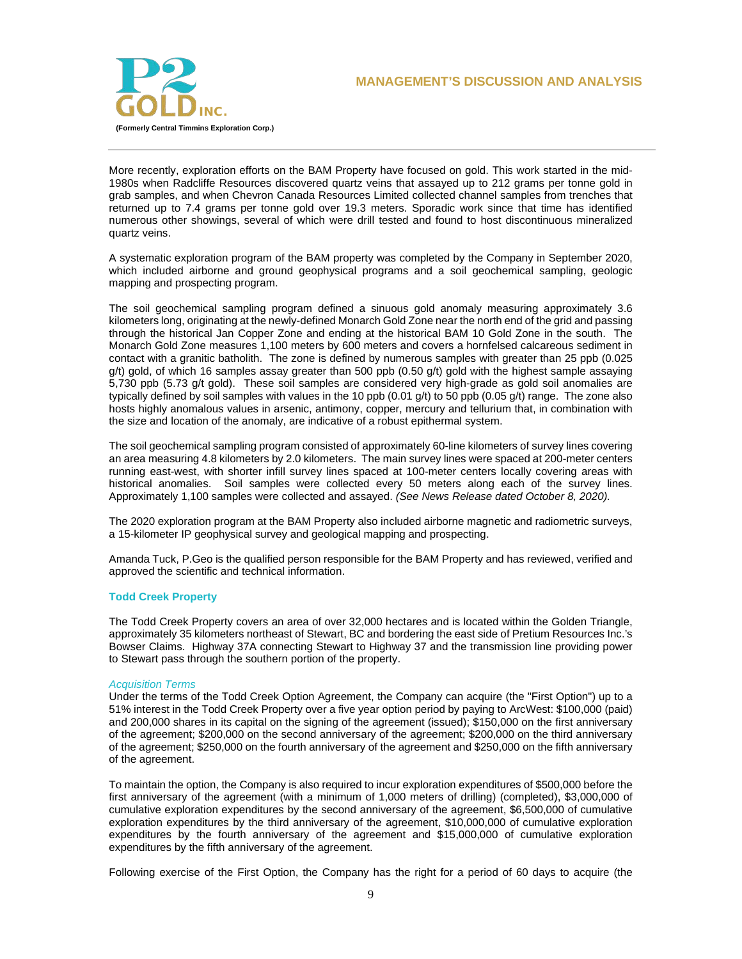

More recently, exploration efforts on the BAM Property have focused on gold. This work started in the mid-1980s when Radcliffe Resources discovered quartz veins that assayed up to 212 grams per tonne gold in grab samples, and when Chevron Canada Resources Limited collected channel samples from trenches that returned up to 7.4 grams per tonne gold over 19.3 meters. Sporadic work since that time has identified numerous other showings, several of which were drill tested and found to host discontinuous mineralized quartz veins.

A systematic exploration program of the BAM property was completed by the Company in September 2020, which included airborne and ground geophysical programs and a soil geochemical sampling, geologic mapping and prospecting program.

The soil geochemical sampling program defined a sinuous gold anomaly measuring approximately 3.6 kilometers long, originating at the newly-defined Monarch Gold Zone near the north end of the grid and passing through the historical Jan Copper Zone and ending at the historical BAM 10 Gold Zone in the south. The Monarch Gold Zone measures 1,100 meters by 600 meters and covers a hornfelsed calcareous sediment in contact with a granitic batholith. The zone is defined by numerous samples with greater than 25 ppb (0.025 g/t) gold, of which 16 samples assay greater than 500 ppb (0.50 g/t) gold with the highest sample assaying 5,730 ppb (5.73 g/t gold). These soil samples are considered very high-grade as gold soil anomalies are typically defined by soil samples with values in the 10 ppb (0.01 g/t) to 50 ppb (0.05 g/t) range. The zone also hosts highly anomalous values in arsenic, antimony, copper, mercury and tellurium that, in combination with the size and location of the anomaly, are indicative of a robust epithermal system.

The soil geochemical sampling program consisted of approximately 60-line kilometers of survey lines covering an area measuring 4.8 kilometers by 2.0 kilometers. The main survey lines were spaced at 200-meter centers running east-west, with shorter infill survey lines spaced at 100-meter centers locally covering areas with historical anomalies. Soil samples were collected every 50 meters along each of the survey lines. Approximately 1,100 samples were collected and assayed. *(See News Release dated October 8, 2020).*

The 2020 exploration program at the BAM Property also included airborne magnetic and radiometric surveys, a 15-kilometer IP geophysical survey and geological mapping and prospecting.

Amanda Tuck, P.Geo is the qualified person responsible for the BAM Property and has reviewed, verified and approved the scientific and technical information.

### **Todd Creek Property**

The Todd Creek Property covers an area of over 32,000 hectares and is located within the Golden Triangle, approximately 35 kilometers northeast of Stewart, BC and bordering the east side of Pretium Resources Inc.'s Bowser Claims. Highway 37A connecting Stewart to Highway 37 and the transmission line providing power to Stewart pass through the southern portion of the property.

### *Acquisition Terms*

Under the terms of the Todd Creek Option Agreement, the Company can acquire (the "First Option") up to a 51% interest in the Todd Creek Property over a five year option period by paying to ArcWest: \$100,000 (paid) and 200,000 shares in its capital on the signing of the agreement (issued); \$150,000 on the first anniversary of the agreement; \$200,000 on the second anniversary of the agreement; \$200,000 on the third anniversary of the agreement; \$250,000 on the fourth anniversary of the agreement and \$250,000 on the fifth anniversary of the agreement.

To maintain the option, the Company is also required to incur exploration expenditures of \$500,000 before the first anniversary of the agreement (with a minimum of 1,000 meters of drilling) (completed), \$3,000,000 of cumulative exploration expenditures by the second anniversary of the agreement, \$6,500,000 of cumulative exploration expenditures by the third anniversary of the agreement, \$10,000,000 of cumulative exploration expenditures by the fourth anniversary of the agreement and \$15,000,000 of cumulative exploration expenditures by the fifth anniversary of the agreement.

Following exercise of the First Option, the Company has the right for a period of 60 days to acquire (the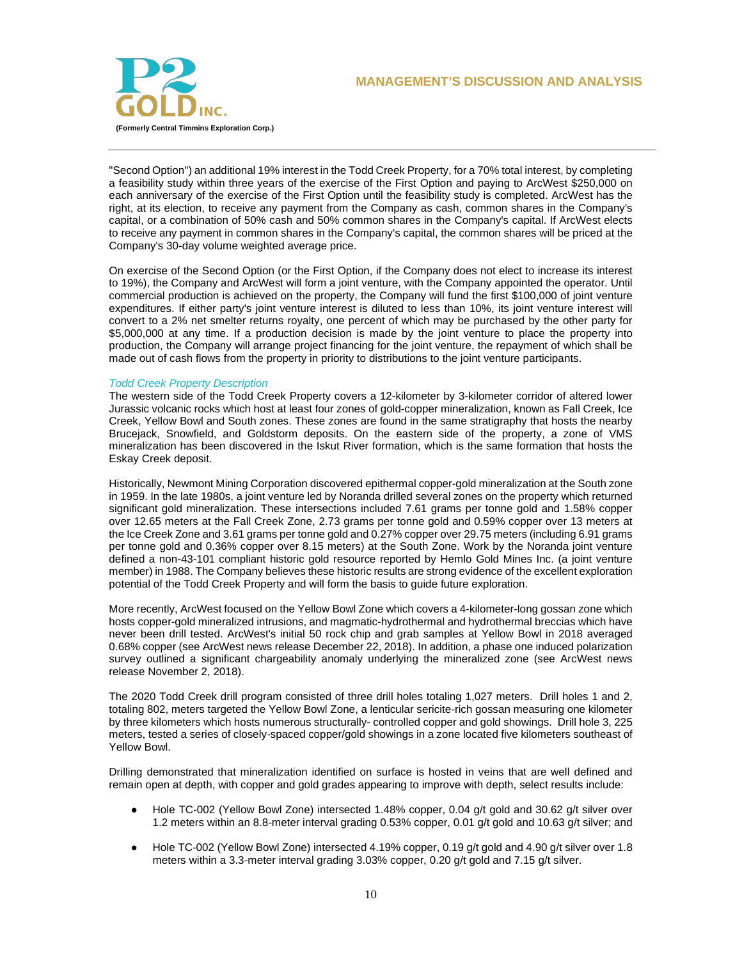

"Second Option") an additional 19% interest in the Todd Creek Property, for a 70% total interest, by completing a feasibility study within three years of the exercise of the First Option and paying to ArcWest \$250,000 on each anniversary of the exercise of the First Option until the feasibility study is completed. ArcWest has the right, at its election, to receive any payment from the Company as cash, common shares in the Company's capital, or a combination of 50% cash and 50% common shares in the Company's capital. If ArcWest elects to receive any payment in common shares in the Company's capital, the common shares will be priced at the Company's 30-day volume weighted average price.

On exercise of the Second Option (or the First Option, if the Company does not elect to increase its interest to 19%), the Company and ArcWest will form a joint venture, with the Company appointed the operator. Until commercial production is achieved on the property, the Company will fund the first \$100,000 of joint venture expenditures. If either party's joint venture interest is diluted to less than 10%, its joint venture interest will convert to a 2% net smelter returns royalty, one percent of which may be purchased by the other party for \$5,000,000 at any time. If a production decision is made by the joint venture to place the property into production, the Company will arrange project financing for the joint venture, the repayment of which shall be made out of cash flows from the property in priority to distributions to the joint venture participants.

## *Todd Creek Property Description*

The western side of the Todd Creek Property covers a 12-kilometer by 3-kilometer corridor of altered lower Jurassic volcanic rocks which host at least four zones of gold-copper mineralization, known as Fall Creek, Ice Creek, Yellow Bowl and South zones. These zones are found in the same stratigraphy that hosts the nearby Brucejack, Snowfield, and Goldstorm deposits. On the eastern side of the property, a zone of VMS mineralization has been discovered in the Iskut River formation, which is the same formation that hosts the Eskay Creek deposit.

Historically, Newmont Mining Corporation discovered epithermal copper-gold mineralization at the South zone in 1959. In the late 1980s, a joint venture led by Noranda drilled several zones on the property which returned significant gold mineralization. These intersections included 7.61 grams per tonne gold and 1.58% copper over 12.65 meters at the Fall Creek Zone, 2.73 grams per tonne gold and 0.59% copper over 13 meters at the Ice Creek Zone and 3.61 grams per tonne gold and 0.27% copper over 29.75 meters (including 6.91 grams per tonne gold and 0.36% copper over 8.15 meters) at the South Zone. Work by the Noranda joint venture defined a non-43-101 compliant historic gold resource reported by Hemlo Gold Mines Inc. (a joint venture member) in 1988. The Company believes these historic results are strong evidence of the excellent exploration potential of the Todd Creek Property and will form the basis to guide future exploration.

More recently, ArcWest focused on the Yellow Bowl Zone which covers a 4-kilometer-long gossan zone which hosts copper-gold mineralized intrusions, and magmatic-hydrothermal and hydrothermal breccias which have never been drill tested. ArcWest's initial 50 rock chip and grab samples at Yellow Bowl in 2018 averaged 0.68% copper (see ArcWest news release December 22, 2018). In addition, a phase one induced polarization survey outlined a significant chargeability anomaly underlying the mineralized zone (see ArcWest news release November 2, 2018).

The 2020 Todd Creek drill program consisted of three drill holes totaling 1,027 meters. Drill holes 1 and 2, totaling 802, meters targeted the Yellow Bowl Zone, a lenticular sericite-rich gossan measuring one kilometer by three kilometers which hosts numerous structurally- controlled copper and gold showings. Drill hole 3, 225 meters, tested a series of closely-spaced copper/gold showings in a zone located five kilometers southeast of Yellow Bowl.

Drilling demonstrated that mineralization identified on surface is hosted in veins that are well defined and remain open at depth, with copper and gold grades appearing to improve with depth, select results include:

- Hole TC-002 (Yellow Bowl Zone) intersected 1.48% copper, 0.04 g/t gold and 30.62 g/t silver over 1.2 meters within an 8.8-meter interval grading 0.53% copper, 0.01 g/t gold and 10.63 g/t silver; and
- Hole TC-002 (Yellow Bowl Zone) intersected 4.19% copper, 0.19 g/t gold and 4.90 g/t silver over 1.8 meters within a 3.3-meter interval grading 3.03% copper, 0.20 g/t gold and 7.15 g/t silver.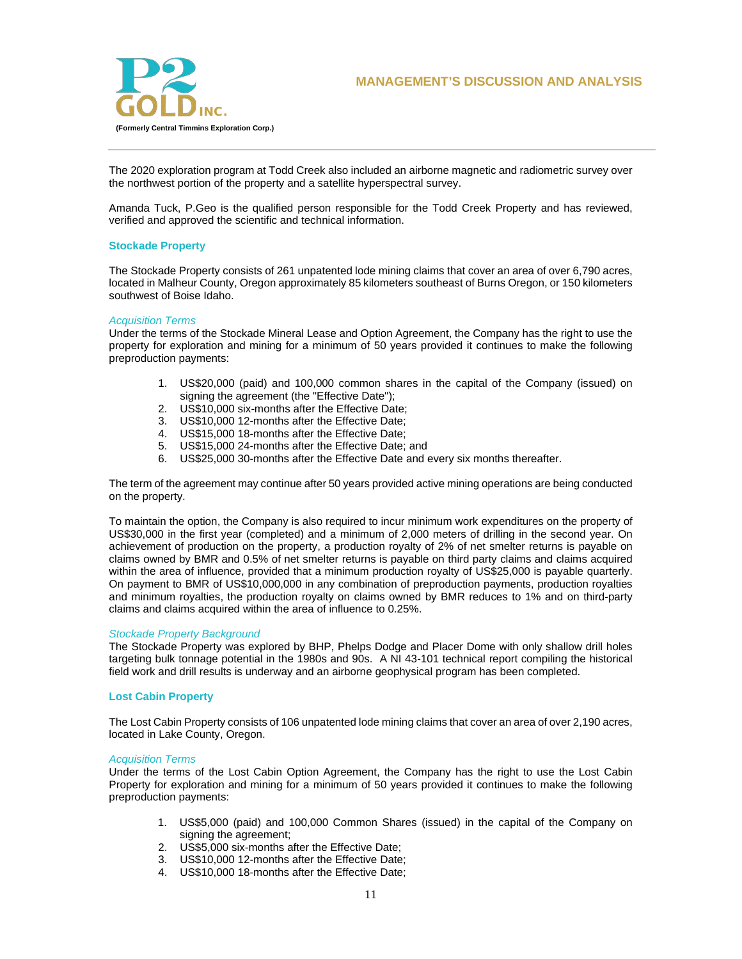

The 2020 exploration program at Todd Creek also included an airborne magnetic and radiometric survey over the northwest portion of the property and a satellite hyperspectral survey.

Amanda Tuck, P.Geo is the qualified person responsible for the Todd Creek Property and has reviewed, verified and approved the scientific and technical information.

## **Stockade Property**

The Stockade Property consists of 261 unpatented lode mining claims that cover an area of over 6,790 acres, located in Malheur County, Oregon approximately 85 kilometers southeast of Burns Oregon, or 150 kilometers southwest of Boise Idaho.

### *Acquisition Terms*

Under the terms of the Stockade Mineral Lease and Option Agreement, the Company has the right to use the property for exploration and mining for a minimum of 50 years provided it continues to make the following preproduction payments:

- 1. US\$20,000 (paid) and 100,000 common shares in the capital of the Company (issued) on signing the agreement (the "Effective Date");
- 2. US\$10,000 six-months after the Effective Date;
- 3. US\$10,000 12-months after the Effective Date;
- 4. US\$15,000 18-months after the Effective Date;
- 5. US\$15,000 24-months after the Effective Date; and
- 6. US\$25,000 30-months after the Effective Date and every six months thereafter.

The term of the agreement may continue after 50 years provided active mining operations are being conducted on the property.

To maintain the option, the Company is also required to incur minimum work expenditures on the property of US\$30,000 in the first year (completed) and a minimum of 2,000 meters of drilling in the second year. On achievement of production on the property, a production royalty of 2% of net smelter returns is payable on claims owned by BMR and 0.5% of net smelter returns is payable on third party claims and claims acquired within the area of influence, provided that a minimum production royalty of US\$25,000 is payable quarterly. On payment to BMR of US\$10,000,000 in any combination of preproduction payments, production royalties and minimum royalties, the production royalty on claims owned by BMR reduces to 1% and on third-party claims and claims acquired within the area of influence to 0.25%.

### *Stockade Property Background*

The Stockade Property was explored by BHP, Phelps Dodge and Placer Dome with only shallow drill holes targeting bulk tonnage potential in the 1980s and 90s. A NI 43-101 technical report compiling the historical field work and drill results is underway and an airborne geophysical program has been completed.

### **Lost Cabin Property**

The Lost Cabin Property consists of 106 unpatented lode mining claims that cover an area of over 2,190 acres, located in Lake County, Oregon.

### *Acquisition Terms*

Under the terms of the Lost Cabin Option Agreement, the Company has the right to use the Lost Cabin Property for exploration and mining for a minimum of 50 years provided it continues to make the following preproduction payments:

- 1. US\$5,000 (paid) and 100,000 Common Shares (issued) in the capital of the Company on signing the agreement:
- 2. US\$5,000 six-months after the Effective Date;
- 3. US\$10,000 12-months after the Effective Date;
- 4. US\$10,000 18-months after the Effective Date;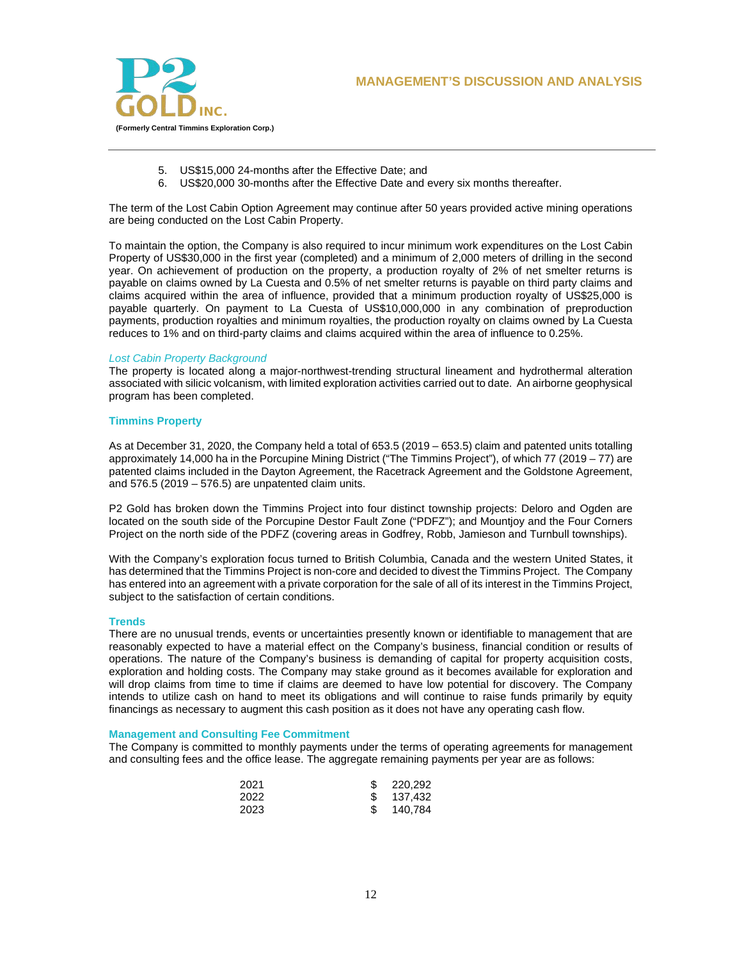

- 5. US\$15,000 24-months after the Effective Date; and
- 6. US\$20,000 30-months after the Effective Date and every six months thereafter.

The term of the Lost Cabin Option Agreement may continue after 50 years provided active mining operations are being conducted on the Lost Cabin Property.

To maintain the option, the Company is also required to incur minimum work expenditures on the Lost Cabin Property of US\$30,000 in the first year (completed) and a minimum of 2,000 meters of drilling in the second year. On achievement of production on the property, a production royalty of 2% of net smelter returns is payable on claims owned by La Cuesta and 0.5% of net smelter returns is payable on third party claims and claims acquired within the area of influence, provided that a minimum production royalty of US\$25,000 is payable quarterly. On payment to La Cuesta of US\$10,000,000 in any combination of preproduction payments, production royalties and minimum royalties, the production royalty on claims owned by La Cuesta reduces to 1% and on third-party claims and claims acquired within the area of influence to 0.25%.

### *Lost Cabin Property Background*

The property is located along a major-northwest-trending structural lineament and hydrothermal alteration associated with silicic volcanism, with limited exploration activities carried out to date. An airborne geophysical program has been completed.

## **Timmins Property**

As at December 31, 2020, the Company held a total of 653.5 (2019 – 653.5) claim and patented units totalling approximately 14,000 ha in the Porcupine Mining District ("The Timmins Project"), of which 77 (2019 – 77) are patented claims included in the Dayton Agreement, the Racetrack Agreement and the Goldstone Agreement, and  $576.5$  (2019 –  $576.5$ ) are unpatented claim units.

P2 Gold has broken down the Timmins Project into four distinct township projects: Deloro and Ogden are located on the south side of the Porcupine Destor Fault Zone ("PDFZ"); and Mountjoy and the Four Corners Project on the north side of the PDFZ (covering areas in Godfrey, Robb, Jamieson and Turnbull townships).

With the Company's exploration focus turned to British Columbia, Canada and the western United States, it has determined that the Timmins Project is non-core and decided to divest the Timmins Project. The Company has entered into an agreement with a private corporation for the sale of all of its interest in the Timmins Project, subject to the satisfaction of certain conditions.

### **Trends**

There are no unusual trends, events or uncertainties presently known or identifiable to management that are reasonably expected to have a material effect on the Company's business, financial condition or results of operations. The nature of the Company's business is demanding of capital for property acquisition costs, exploration and holding costs. The Company may stake ground as it becomes available for exploration and will drop claims from time to time if claims are deemed to have low potential for discovery. The Company intends to utilize cash on hand to meet its obligations and will continue to raise funds primarily by equity financings as necessary to augment this cash position as it does not have any operating cash flow.

## **Management and Consulting Fee Commitment**

The Company is committed to monthly payments under the terms of operating agreements for management and consulting fees and the office lease. The aggregate remaining payments per year are as follows:

| 2021 | 220,292 |
|------|---------|
| 2022 | 137.432 |
| 2023 | 140.784 |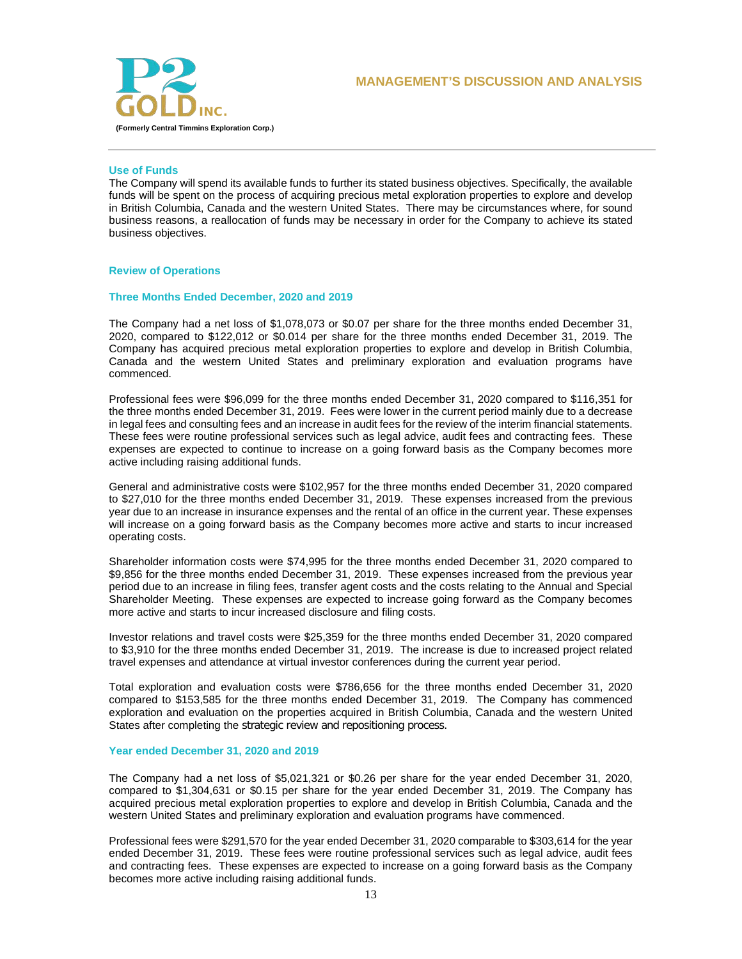

## **Use of Funds**

The Company will spend its available funds to further its stated business objectives. Specifically, the available funds will be spent on the process of acquiring precious metal exploration properties to explore and develop in British Columbia, Canada and the western United States. There may be circumstances where, for sound business reasons, a reallocation of funds may be necessary in order for the Company to achieve its stated business objectives.

## **Review of Operations**

### **Three Months Ended December, 2020 and 2019**

The Company had a net loss of \$1,078,073 or \$0.07 per share for the three months ended December 31, 2020, compared to \$122,012 or \$0.014 per share for the three months ended December 31, 2019. The Company has acquired precious metal exploration properties to explore and develop in British Columbia, Canada and the western United States and preliminary exploration and evaluation programs have commenced.

Professional fees were \$96,099 for the three months ended December 31, 2020 compared to \$116,351 for the three months ended December 31, 2019. Fees were lower in the current period mainly due to a decrease in legal fees and consulting fees and an increase in audit fees for the review of the interim financial statements. These fees were routine professional services such as legal advice, audit fees and contracting fees. These expenses are expected to continue to increase on a going forward basis as the Company becomes more active including raising additional funds.

General and administrative costs were \$102,957 for the three months ended December 31, 2020 compared to \$27,010 for the three months ended December 31, 2019. These expenses increased from the previous year due to an increase in insurance expenses and the rental of an office in the current year. These expenses will increase on a going forward basis as the Company becomes more active and starts to incur increased operating costs.

Shareholder information costs were \$74,995 for the three months ended December 31, 2020 compared to \$9,856 for the three months ended December 31, 2019. These expenses increased from the previous year period due to an increase in filing fees, transfer agent costs and the costs relating to the Annual and Special Shareholder Meeting. These expenses are expected to increase going forward as the Company becomes more active and starts to incur increased disclosure and filing costs.

Investor relations and travel costs were \$25,359 for the three months ended December 31, 2020 compared to \$3,910 for the three months ended December 31, 2019. The increase is due to increased project related travel expenses and attendance at virtual investor conferences during the current year period.

Total exploration and evaluation costs were \$786,656 for the three months ended December 31, 2020 compared to \$153,585 for the three months ended December 31, 2019. The Company has commenced exploration and evaluation on the properties acquired in British Columbia, Canada and the western United States after completing the strategic review and repositioning process.

### **Year ended December 31, 2020 and 2019**

The Company had a net loss of \$5,021,321 or \$0.26 per share for the year ended December 31, 2020, compared to \$1,304,631 or \$0.15 per share for the year ended December 31, 2019. The Company has acquired precious metal exploration properties to explore and develop in British Columbia, Canada and the western United States and preliminary exploration and evaluation programs have commenced.

Professional fees were \$291,570 for the year ended December 31, 2020 comparable to \$303,614 for the year ended December 31, 2019. These fees were routine professional services such as legal advice, audit fees and contracting fees. These expenses are expected to increase on a going forward basis as the Company becomes more active including raising additional funds.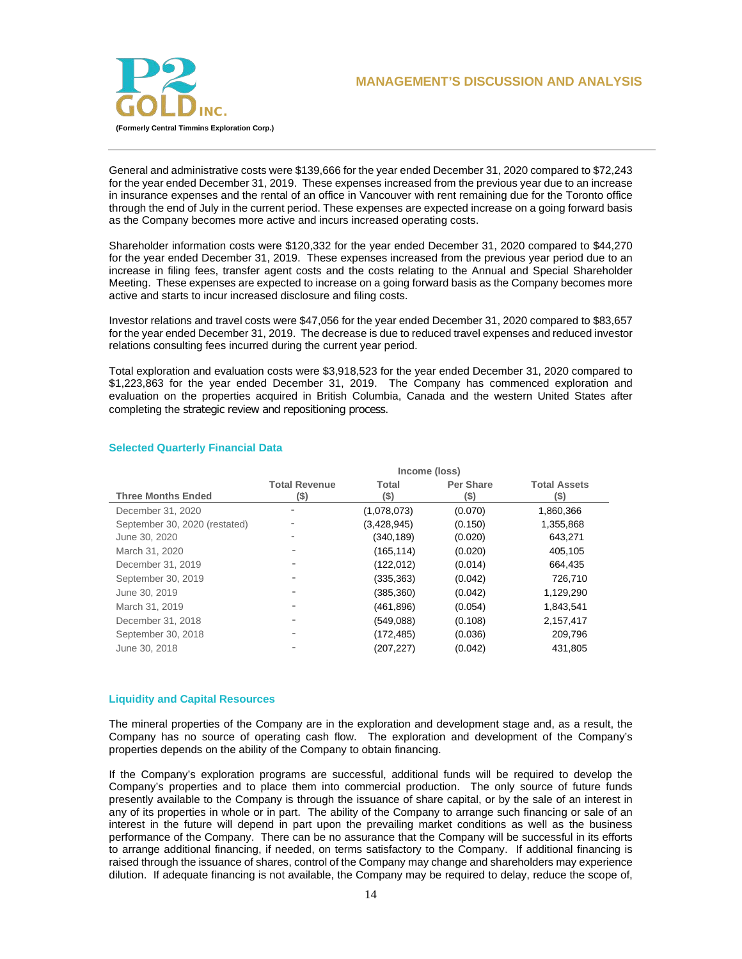

## General and administrative costs were \$139,666 for the year ended December 31, 2020 compared to \$72,243 for the year ended December 31, 2019. These expenses increased from the previous year due to an increase in insurance expenses and the rental of an office in Vancouver with rent remaining due for the Toronto office through the end of July in the current period. These expenses are expected increase on a going forward basis as the Company becomes more active and incurs increased operating costs.

Shareholder information costs were \$120,332 for the year ended December 31, 2020 compared to \$44,270 for the year ended December 31, 2019. These expenses increased from the previous year period due to an increase in filing fees, transfer agent costs and the costs relating to the Annual and Special Shareholder Meeting. These expenses are expected to increase on a going forward basis as the Company becomes more active and starts to incur increased disclosure and filing costs.

Investor relations and travel costs were \$47,056 for the year ended December 31, 2020 compared to \$83,657 for the year ended December 31, 2019. The decrease is due to reduced travel expenses and reduced investor relations consulting fees incurred during the current year period.

Total exploration and evaluation costs were \$3,918,523 for the year ended December 31, 2020 compared to \$1,223,863 for the year ended December 31, 2019. The Company has commenced exploration and evaluation on the properties acquired in British Columbia, Canada and the western United States after completing the strategic review and repositioning process.

|                               | Income (loss)                |               |                          |                             |
|-------------------------------|------------------------------|---------------|--------------------------|-----------------------------|
| <b>Three Months Ended</b>     | <b>Total Revenue</b><br>(\$) | Total<br>(\$) | <b>Per Share</b><br>(\$) | <b>Total Assets</b><br>(\$) |
| December 31, 2020             |                              | (1,078,073)   | (0.070)                  | 1,860,366                   |
| September 30, 2020 (restated) |                              | (3,428,945)   | (0.150)                  | 1,355,868                   |
| June 30, 2020                 |                              | (340,189)     | (0.020)                  | 643,271                     |
| March 31, 2020                |                              | (165, 114)    | (0.020)                  | 405,105                     |
| December 31, 2019             |                              | (122, 012)    | (0.014)                  | 664,435                     |
| September 30, 2019            |                              | (335, 363)    | (0.042)                  | 726,710                     |
| June 30, 2019                 |                              | (385, 360)    | (0.042)                  | 1,129,290                   |
| March 31, 2019                |                              | (461, 896)    | (0.054)                  | 1,843,541                   |
| December 31, 2018             | $\overline{\phantom{a}}$     | (549,088)     | (0.108)                  | 2,157,417                   |
| September 30, 2018            |                              | (172, 485)    | (0.036)                  | 209,796                     |
| June 30, 2018                 |                              | (207, 227)    | (0.042)                  | 431.805                     |

# **Selected Quarterly Financial Data**

## **Liquidity and Capital Resources**

The mineral properties of the Company are in the exploration and development stage and, as a result, the Company has no source of operating cash flow. The exploration and development of the Company's properties depends on the ability of the Company to obtain financing.

If the Company's exploration programs are successful, additional funds will be required to develop the Company's properties and to place them into commercial production. The only source of future funds presently available to the Company is through the issuance of share capital, or by the sale of an interest in any of its properties in whole or in part. The ability of the Company to arrange such financing or sale of an interest in the future will depend in part upon the prevailing market conditions as well as the business performance of the Company. There can be no assurance that the Company will be successful in its efforts to arrange additional financing, if needed, on terms satisfactory to the Company. If additional financing is raised through the issuance of shares, control of the Company may change and shareholders may experience dilution. If adequate financing is not available, the Company may be required to delay, reduce the scope of,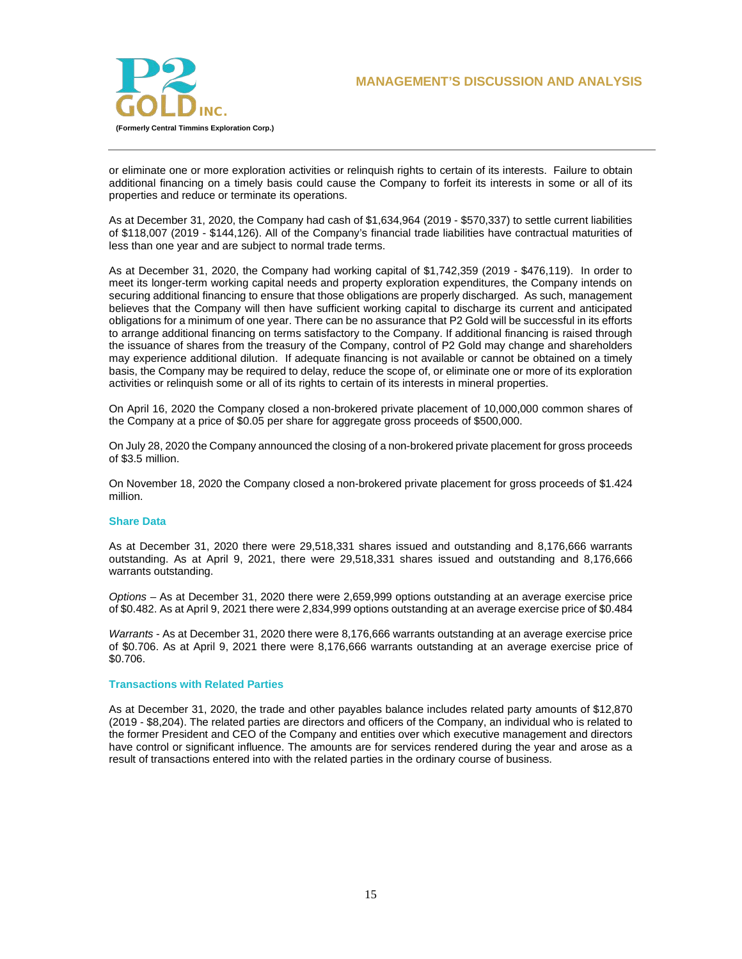

or eliminate one or more exploration activities or relinquish rights to certain of its interests. Failure to obtain additional financing on a timely basis could cause the Company to forfeit its interests in some or all of its properties and reduce or terminate its operations.

As at December 31, 2020, the Company had cash of \$1,634,964 (2019 - \$570,337) to settle current liabilities of \$118,007 (2019 - \$144,126). All of the Company's financial trade liabilities have contractual maturities of less than one year and are subject to normal trade terms.

As at December 31, 2020, the Company had working capital of \$1,742,359 (2019 - \$476,119). In order to meet its longer-term working capital needs and property exploration expenditures, the Company intends on securing additional financing to ensure that those obligations are properly discharged. As such, management believes that the Company will then have sufficient working capital to discharge its current and anticipated obligations for a minimum of one year. There can be no assurance that P2 Gold will be successful in its efforts to arrange additional financing on terms satisfactory to the Company. If additional financing is raised through the issuance of shares from the treasury of the Company, control of P2 Gold may change and shareholders may experience additional dilution. If adequate financing is not available or cannot be obtained on a timely basis, the Company may be required to delay, reduce the scope of, or eliminate one or more of its exploration activities or relinquish some or all of its rights to certain of its interests in mineral properties.

On April 16, 2020 the Company closed a non-brokered private placement of 10,000,000 common shares of the Company at a price of \$0.05 per share for aggregate gross proceeds of \$500,000.

On July 28, 2020 the Company announced the closing of a non-brokered private placement for gross proceeds of \$3.5 million.

On November 18, 2020 the Company closed a non-brokered private placement for gross proceeds of \$1.424 million.

### **Share Data**

As at December 31, 2020 there were 29,518,331 shares issued and outstanding and 8,176,666 warrants outstanding. As at April 9, 2021, there were 29,518,331 shares issued and outstanding and 8,176,666 warrants outstanding.

*Options* – As at December 31, 2020 there were 2,659,999 options outstanding at an average exercise price of \$0.482. As at April 9, 2021 there were 2,834,999 options outstanding at an average exercise price of \$0.484

*Warrants* - As at December 31, 2020 there were 8,176,666 warrants outstanding at an average exercise price of \$0.706. As at April 9, 2021 there were 8,176,666 warrants outstanding at an average exercise price of \$0.706.

#### **Transactions with Related Parties**

As at December 31, 2020, the trade and other payables balance includes related party amounts of \$12,870 (2019 - \$8,204). The related parties are directors and officers of the Company, an individual who is related to the former President and CEO of the Company and entities over which executive management and directors have control or significant influence. The amounts are for services rendered during the year and arose as a result of transactions entered into with the related parties in the ordinary course of business.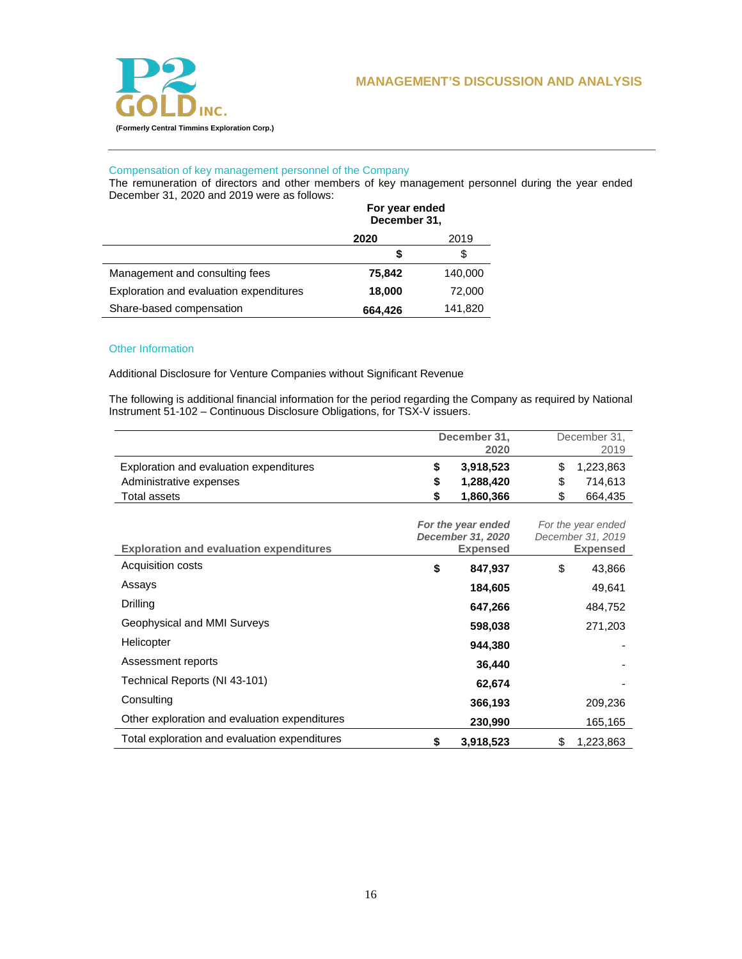

# Compensation of key management personnel of the Company

The remuneration of directors and other members of key management personnel during the year ended December 31, 2020 and 2019 were as follows:

|                                         | For year ended<br>December 31, |         |
|-----------------------------------------|--------------------------------|---------|
|                                         | 2020                           | 2019    |
|                                         | S                              | \$      |
| Management and consulting fees          | 75,842                         | 140,000 |
| Exploration and evaluation expenditures | 18,000                         | 72,000  |
| Share-based compensation                | 664,426                        | 141,820 |

## Other Information

Additional Disclosure for Venture Companies without Significant Revenue

The following is additional financial information for the period regarding the Company as required by National Instrument 51-102 – Continuous Disclosure Obligations, for TSX-V issuers.

|                                         | December 31, | December 31, |
|-----------------------------------------|--------------|--------------|
|                                         | 2020         | 2019         |
| Exploration and evaluation expenditures | 3.918.523    | 1,223,863    |
| Administrative expenses                 | 1.288.420    | 714.613      |
| Total assets                            | 1.860.366    | 664.435      |

| <b>Exploration and evaluation expenditures</b> | For the year ended<br>December 31, 2020<br><b>Expensed</b> | For the year ended<br>December 31, 2019<br><b>Expensed</b> |
|------------------------------------------------|------------------------------------------------------------|------------------------------------------------------------|
| Acquisition costs                              | \$<br>847,937                                              | \$<br>43,866                                               |
| Assays                                         | 184,605                                                    | 49,641                                                     |
| Drilling                                       | 647,266                                                    | 484,752                                                    |
| Geophysical and MMI Surveys                    | 598,038                                                    | 271,203                                                    |
| Helicopter                                     | 944,380                                                    |                                                            |
| Assessment reports                             | 36,440                                                     |                                                            |
| Technical Reports (NI 43-101)                  | 62,674                                                     |                                                            |
| Consulting                                     | 366,193                                                    | 209,236                                                    |
| Other exploration and evaluation expenditures  | 230,990                                                    | 165,165                                                    |
| Total exploration and evaluation expenditures  | \$<br>3,918,523                                            | \$<br>1,223,863                                            |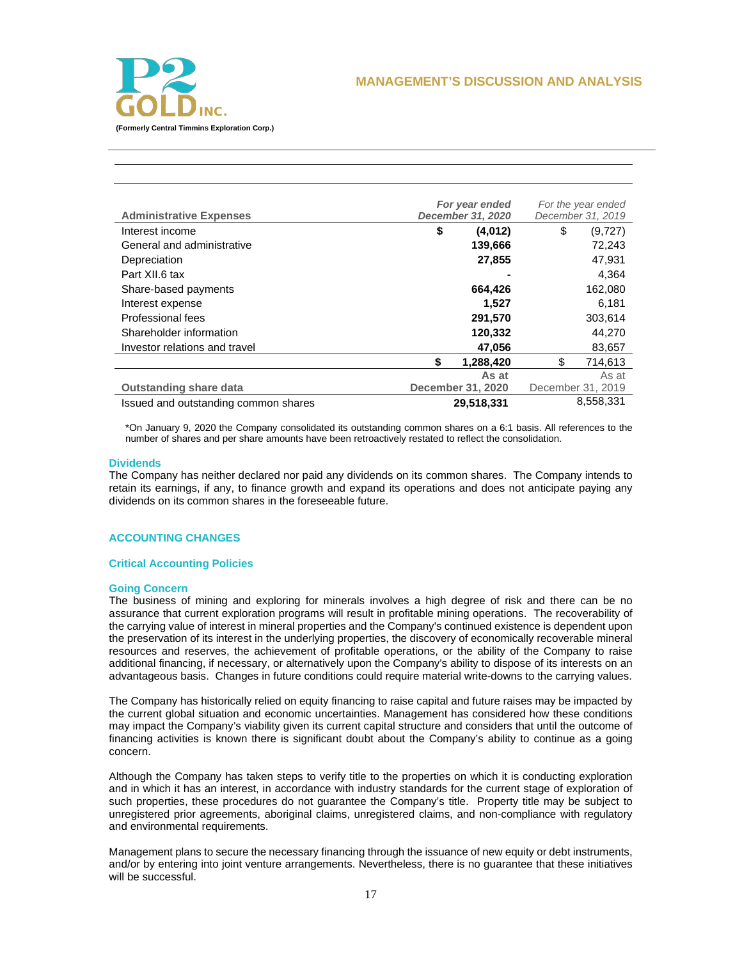

|                                      | For year ended           | For the year ended |
|--------------------------------------|--------------------------|--------------------|
| <b>Administrative Expenses</b>       | December 31, 2020        | December 31, 2019  |
| Interest income                      | \$<br>(4,012)            | \$<br>(9,727)      |
| General and administrative           | 139,666                  | 72,243             |
| Depreciation                         | 27,855                   | 47.931             |
| Part XII.6 tax                       |                          | 4,364              |
| Share-based payments                 | 664,426                  | 162,080            |
| Interest expense                     | 1,527                    | 6,181              |
| Professional fees                    | 291,570                  | 303,614            |
| Shareholder information              | 120,332                  | 44,270             |
| Investor relations and travel        | 47,056                   | 83,657             |
|                                      | \$<br>1,288,420          | \$<br>714.613      |
|                                      | As at                    | As at              |
| <b>Outstanding share data</b>        | <b>December 31, 2020</b> | December 31, 2019  |
| Issued and outstanding common shares | 29,518,331               | 8,558,331          |

\*On January 9, 2020 the Company consolidated its outstanding common shares on a 6:1 basis. All references to the number of shares and per share amounts have been retroactively restated to reflect the consolidation.

## **Dividends**

The Company has neither declared nor paid any dividends on its common shares. The Company intends to retain its earnings, if any, to finance growth and expand its operations and does not anticipate paying any dividends on its common shares in the foreseeable future.

## **ACCOUNTING CHANGES**

### **Critical Accounting Policies**

### **Going Concern**

The business of mining and exploring for minerals involves a high degree of risk and there can be no assurance that current exploration programs will result in profitable mining operations. The recoverability of the carrying value of interest in mineral properties and the Company's continued existence is dependent upon the preservation of its interest in the underlying properties, the discovery of economically recoverable mineral resources and reserves, the achievement of profitable operations, or the ability of the Company to raise additional financing, if necessary, or alternatively upon the Company's ability to dispose of its interests on an advantageous basis. Changes in future conditions could require material write-downs to the carrying values.

The Company has historically relied on equity financing to raise capital and future raises may be impacted by the current global situation and economic uncertainties. Management has considered how these conditions may impact the Company's viability given its current capital structure and considers that until the outcome of financing activities is known there is significant doubt about the Company's ability to continue as a going concern.

Although the Company has taken steps to verify title to the properties on which it is conducting exploration and in which it has an interest, in accordance with industry standards for the current stage of exploration of such properties, these procedures do not guarantee the Company's title. Property title may be subject to unregistered prior agreements, aboriginal claims, unregistered claims, and non-compliance with regulatory and environmental requirements.

Management plans to secure the necessary financing through the issuance of new equity or debt instruments, and/or by entering into joint venture arrangements. Nevertheless, there is no guarantee that these initiatives will be successful.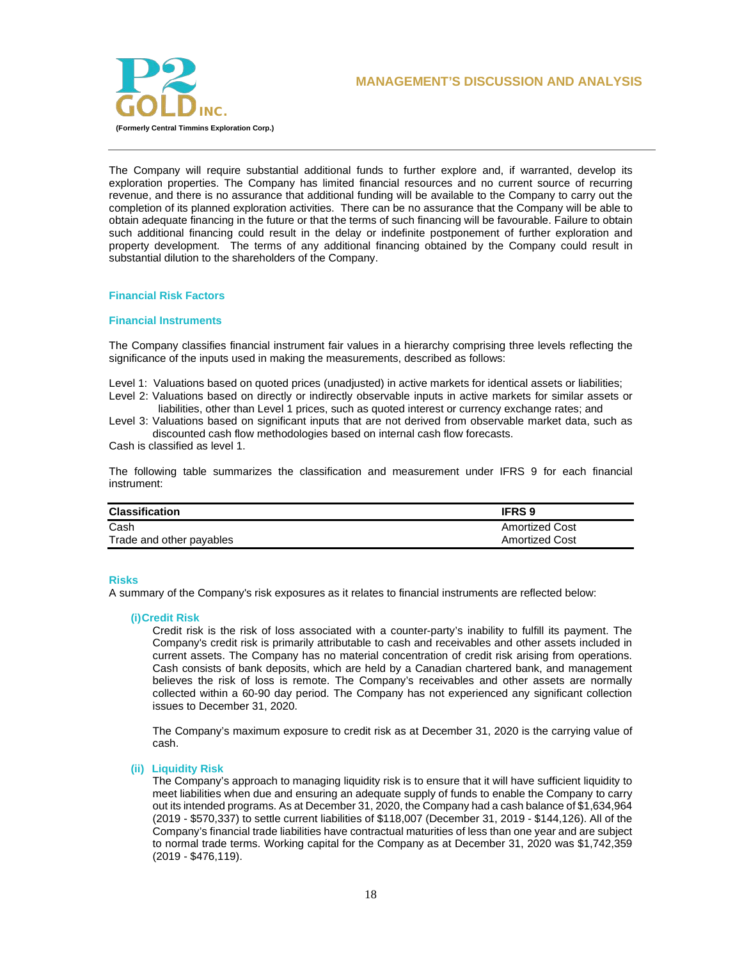



The Company will require substantial additional funds to further explore and, if warranted, develop its exploration properties. The Company has limited financial resources and no current source of recurring revenue, and there is no assurance that additional funding will be available to the Company to carry out the completion of its planned exploration activities. There can be no assurance that the Company will be able to obtain adequate financing in the future or that the terms of such financing will be favourable. Failure to obtain such additional financing could result in the delay or indefinite postponement of further exploration and property development. The terms of any additional financing obtained by the Company could result in substantial dilution to the shareholders of the Company.

## **Financial Risk Factors**

### **Financial Instruments**

The Company classifies financial instrument fair values in a hierarchy comprising three levels reflecting the significance of the inputs used in making the measurements, described as follows:

Level 1: Valuations based on quoted prices (unadjusted) in active markets for identical assets or liabilities;

Level 2: Valuations based on directly or indirectly observable inputs in active markets for similar assets or liabilities, other than Level 1 prices, such as quoted interest or currency exchange rates; and

Level 3: Valuations based on significant inputs that are not derived from observable market data, such as discounted cash flow methodologies based on internal cash flow forecasts.

Cash is classified as level 1.

The following table summarizes the classification and measurement under IFRS 9 for each financial instrument:

| <b>Classification</b>    | <b>IFRS9</b>          |
|--------------------------|-----------------------|
| Cash                     | <b>Amortized Cost</b> |
| Trade and other payables | <b>Amortized Cost</b> |

### **Risks**

A summary of the Company's risk exposures as it relates to financial instruments are reflected below:

### **(i)Credit Risk**

Credit risk is the risk of loss associated with a counter-party's inability to fulfill its payment. The Company's credit risk is primarily attributable to cash and receivables and other assets included in current assets. The Company has no material concentration of credit risk arising from operations. Cash consists of bank deposits, which are held by a Canadian chartered bank, and management believes the risk of loss is remote. The Company's receivables and other assets are normally collected within a 60-90 day period. The Company has not experienced any significant collection issues to December 31, 2020.

The Company's maximum exposure to credit risk as at December 31, 2020 is the carrying value of cash.

### **(ii) Liquidity Risk**

The Company's approach to managing liquidity risk is to ensure that it will have sufficient liquidity to meet liabilities when due and ensuring an adequate supply of funds to enable the Company to carry out its intended programs. As at December 31, 2020, the Company had a cash balance of \$1,634,964 (2019 - \$570,337) to settle current liabilities of \$118,007 (December 31, 2019 - \$144,126). All of the Company's financial trade liabilities have contractual maturities of less than one year and are subject to normal trade terms. Working capital for the Company as at December 31, 2020 was \$1,742,359 (2019 - \$476,119).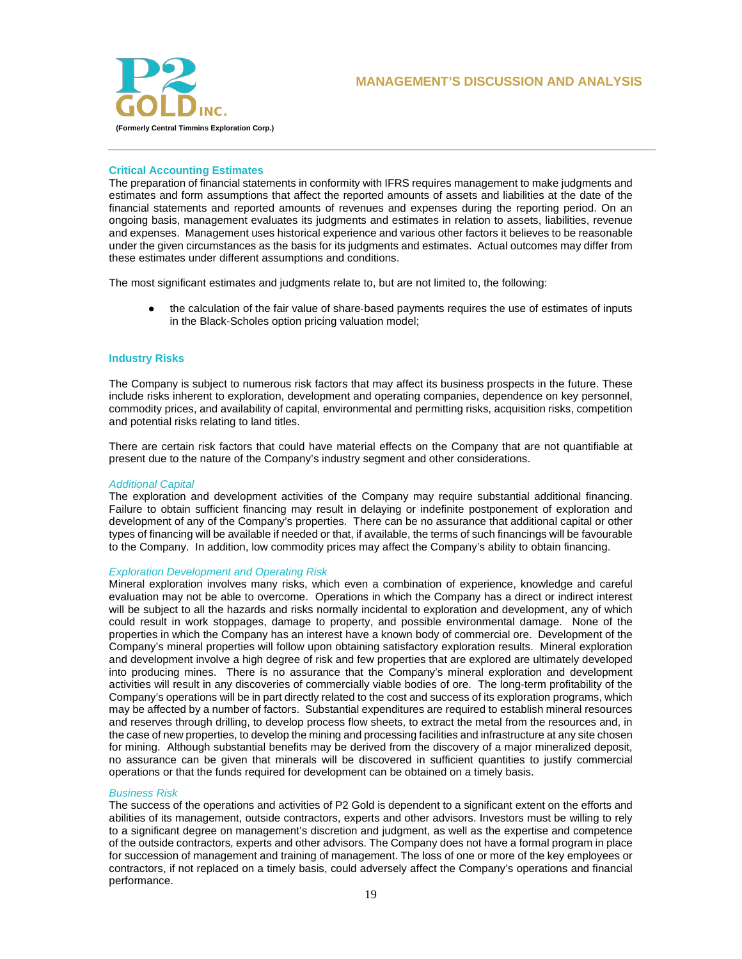

## **Critical Accounting Estimates**

The preparation of financial statements in conformity with IFRS requires management to make judgments and estimates and form assumptions that affect the reported amounts of assets and liabilities at the date of the financial statements and reported amounts of revenues and expenses during the reporting period. On an ongoing basis, management evaluates its judgments and estimates in relation to assets, liabilities, revenue and expenses. Management uses historical experience and various other factors it believes to be reasonable under the given circumstances as the basis for its judgments and estimates. Actual outcomes may differ from these estimates under different assumptions and conditions.

The most significant estimates and judgments relate to, but are not limited to, the following:

• the calculation of the fair value of share-based payments requires the use of estimates of inputs in the Black-Scholes option pricing valuation model;

## **Industry Risks**

The Company is subject to numerous risk factors that may affect its business prospects in the future. These include risks inherent to exploration, development and operating companies, dependence on key personnel, commodity prices, and availability of capital, environmental and permitting risks, acquisition risks, competition and potential risks relating to land titles.

There are certain risk factors that could have material effects on the Company that are not quantifiable at present due to the nature of the Company's industry segment and other considerations.

#### *Additional Capital*

The exploration and development activities of the Company may require substantial additional financing. Failure to obtain sufficient financing may result in delaying or indefinite postponement of exploration and development of any of the Company's properties. There can be no assurance that additional capital or other types of financing will be available if needed or that, if available, the terms of such financings will be favourable to the Company. In addition, low commodity prices may affect the Company's ability to obtain financing.

#### *Exploration Development and Operating Risk*

Mineral exploration involves many risks, which even a combination of experience, knowledge and careful evaluation may not be able to overcome. Operations in which the Company has a direct or indirect interest will be subject to all the hazards and risks normally incidental to exploration and development, any of which could result in work stoppages, damage to property, and possible environmental damage. None of the properties in which the Company has an interest have a known body of commercial ore. Development of the Company's mineral properties will follow upon obtaining satisfactory exploration results. Mineral exploration and development involve a high degree of risk and few properties that are explored are ultimately developed into producing mines. There is no assurance that the Company's mineral exploration and development activities will result in any discoveries of commercially viable bodies of ore. The long-term profitability of the Company's operations will be in part directly related to the cost and success of its exploration programs, which may be affected by a number of factors. Substantial expenditures are required to establish mineral resources and reserves through drilling, to develop process flow sheets, to extract the metal from the resources and, in the case of new properties, to develop the mining and processing facilities and infrastructure at any site chosen for mining. Although substantial benefits may be derived from the discovery of a major mineralized deposit, no assurance can be given that minerals will be discovered in sufficient quantities to justify commercial operations or that the funds required for development can be obtained on a timely basis.

### *Business Risk*

The success of the operations and activities of P2 Gold is dependent to a significant extent on the efforts and abilities of its management, outside contractors, experts and other advisors. Investors must be willing to rely to a significant degree on management's discretion and judgment, as well as the expertise and competence of the outside contractors, experts and other advisors. The Company does not have a formal program in place for succession of management and training of management. The loss of one or more of the key employees or contractors, if not replaced on a timely basis, could adversely affect the Company's operations and financial performance.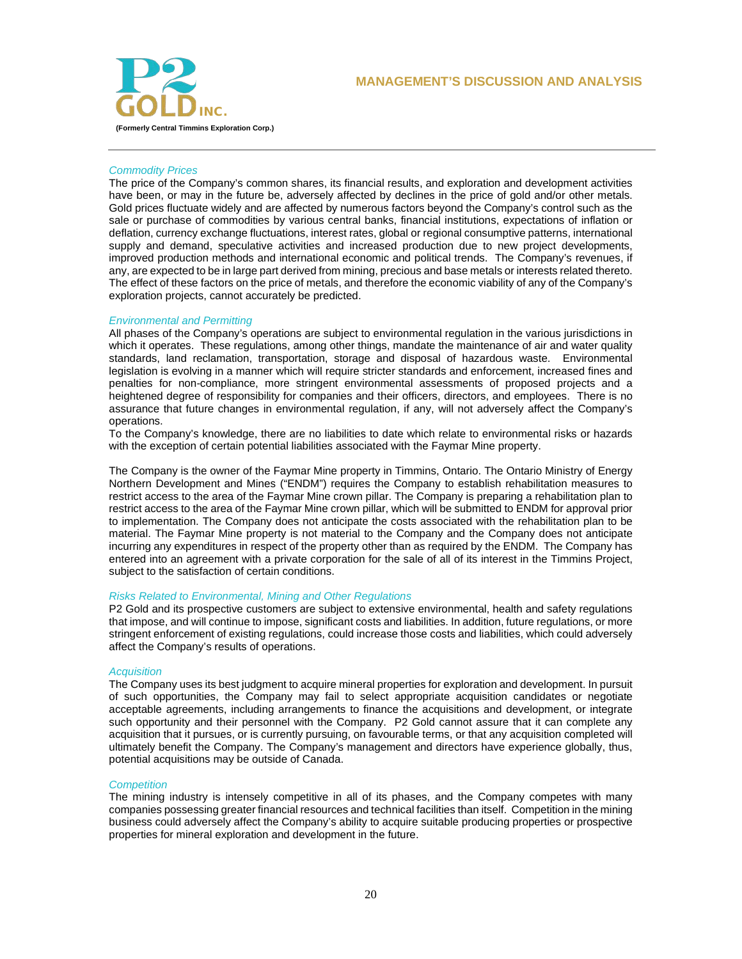



## *Commodity Prices*

The price of the Company's common shares, its financial results, and exploration and development activities have been, or may in the future be, adversely affected by declines in the price of gold and/or other metals. Gold prices fluctuate widely and are affected by numerous factors beyond the Company's control such as the sale or purchase of commodities by various central banks, financial institutions, expectations of inflation or deflation, currency exchange fluctuations, interest rates, global or regional consumptive patterns, international supply and demand, speculative activities and increased production due to new project developments, improved production methods and international economic and political trends. The Company's revenues, if any, are expected to be in large part derived from mining, precious and base metals or interests related thereto. The effect of these factors on the price of metals, and therefore the economic viability of any of the Company's exploration projects, cannot accurately be predicted.

### *Environmental and Permitting*

All phases of the Company's operations are subject to environmental regulation in the various jurisdictions in which it operates. These regulations, among other things, mandate the maintenance of air and water quality standards, land reclamation, transportation, storage and disposal of hazardous waste. Environmental legislation is evolving in a manner which will require stricter standards and enforcement, increased fines and penalties for non-compliance, more stringent environmental assessments of proposed projects and a heightened degree of responsibility for companies and their officers, directors, and employees. There is no assurance that future changes in environmental regulation, if any, will not adversely affect the Company's operations.

To the Company's knowledge, there are no liabilities to date which relate to environmental risks or hazards with the exception of certain potential liabilities associated with the Faymar Mine property.

The Company is the owner of the Faymar Mine property in Timmins, Ontario. The Ontario Ministry of Energy Northern Development and Mines ("ENDM") requires the Company to establish rehabilitation measures to restrict access to the area of the Faymar Mine crown pillar. The Company is preparing a rehabilitation plan to restrict access to the area of the Faymar Mine crown pillar, which will be submitted to ENDM for approval prior to implementation. The Company does not anticipate the costs associated with the rehabilitation plan to be material. The Faymar Mine property is not material to the Company and the Company does not anticipate incurring any expenditures in respect of the property other than as required by the ENDM. The Company has entered into an agreement with a private corporation for the sale of all of its interest in the Timmins Project, subject to the satisfaction of certain conditions.

### *Risks Related to Environmental, Mining and Other Regulations*

P2 Gold and its prospective customers are subject to extensive environmental, health and safety regulations that impose, and will continue to impose, significant costs and liabilities. In addition, future regulations, or more stringent enforcement of existing regulations, could increase those costs and liabilities, which could adversely affect the Company's results of operations.

### *Acquisition*

The Company uses its best judgment to acquire mineral properties for exploration and development. In pursuit of such opportunities, the Company may fail to select appropriate acquisition candidates or negotiate acceptable agreements, including arrangements to finance the acquisitions and development, or integrate such opportunity and their personnel with the Company. P2 Gold cannot assure that it can complete any acquisition that it pursues, or is currently pursuing, on favourable terms, or that any acquisition completed will ultimately benefit the Company. The Company's management and directors have experience globally, thus, potential acquisitions may be outside of Canada.

### *Competition*

The mining industry is intensely competitive in all of its phases, and the Company competes with many companies possessing greater financial resources and technical facilities than itself. Competition in the mining business could adversely affect the Company's ability to acquire suitable producing properties or prospective properties for mineral exploration and development in the future.